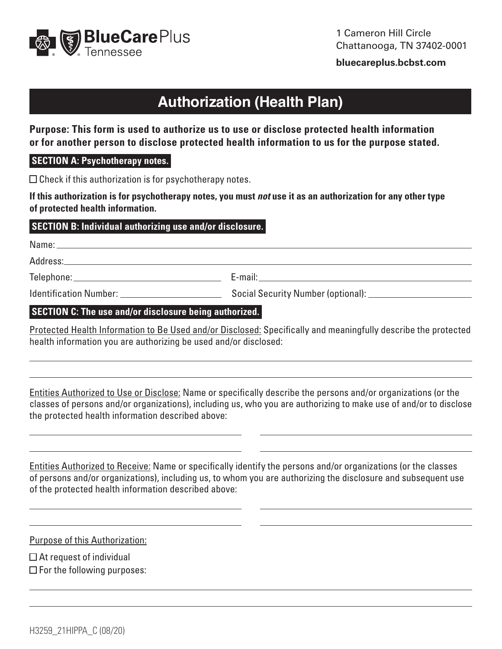

**[bluecareplus.bcbst.com](http://bluecareplus.bcbst.com)**

# **Authorization (Health Plan)**

**Purpose: This form is used to authorize us to use or disclose protected health information or for another person to disclose protected health information to us for the purpose stated.**

#### **SECTION A: Psychotherapy notes.**

 $\Box$  Check if this authorization is for psychotherapy notes.

**If this authorization is for psychotherapy notes, you must** *not* **use it as an authorization for any other type of protected health information.** 

#### **SECTION B: Individual authorizing use and/or disclosure.**

Name:

Address:

Telephone: E-mail:

Identification Number: Social Security Number (optional):

#### **SECTION C: The use and/or disclosure being authorized.**

Protected Health Information to Be Used and/or Disclosed: Specifically and meaningfully describe the protected health information you are authorizing be used and/or disclosed:

Entities Authorized to Use or Disclose: Name or specifically describe the persons and/or organizations (or the classes of persons and/or organizations), including us, who you are authorizing to make use of and/or to disclose the protected health information described above:

Entities Authorized to Receive: Name or specifically identify the persons and/or organizations (or the classes of persons and/or organizations), including us, to whom you are authorizing the disclosure and subsequent use of the protected health information described above:

 $\overline{\phantom{a}}$ 

 $\overline{a}$ 

 $\overline{a}$ 

 $\overline{\phantom{a}}$ 

Purpose of this Authorization:

 $\Box$  At request of individual  $\square$  For the following purposes: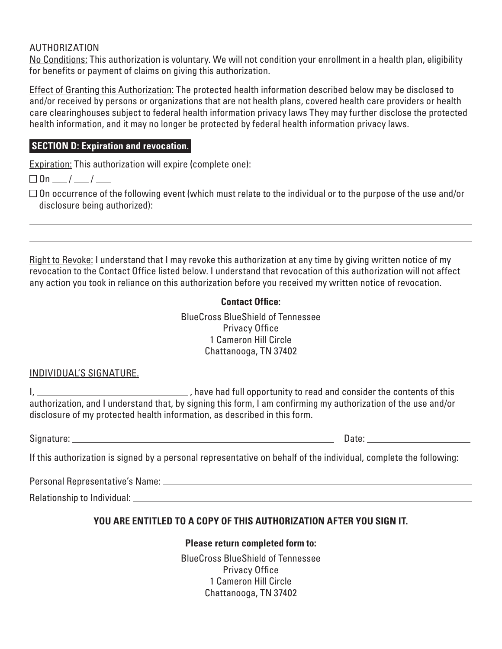### AUTHORIZATION

No Conditions: This authorization is voluntary. We will not condition your enrollment in a health plan, eligibility for benefits or payment of claims on giving this authorization.

Effect of Granting this Authorization: The protected health information described below may be disclosed to and/or received by persons or organizations that are not health plans, covered health care providers or health care clearinghouses subject to federal health information privacy laws They may further disclose the protected health information, and it may no longer be protected by federal health information privacy laws.

## **SECTION D: Expiration and revocation.**

Expiration: This authorization will expire (complete one):

 $\square$  On  $\_\_\_\_\_\_\_\_\_\_\$ 

 $\square$  On occurrence of the following event (which must relate to the individual or to the purpose of the use and/or disclosure being authorized):

Right to Revoke: I understand that I may revoke this authorization at any time by giving written notice of my revocation to the Contact Office listed below. I understand that revocation of this authorization will not affect any action you took in reliance on this authorization before you received my written notice of revocation.

# **Contact Office:**

BlueCross BlueShield of Tennessee Privacy Office 1 Cameron Hill Circle Chattanooga, TN 37402

# INDIVIDUAL'S SIGNATURE.

I, 1. Consider the contents of this consider the contents of this proportunity to read and consider the contents of this authorization, and I understand that, by signing this form, I am confirming my authorization of the use and/or disclosure of my protected health information, as described in this form.

Signature: Date:

If this authorization is signed by a personal representative on behalf of the individual, complete the following:

Personal Representative's Name:

Relationship to Individual:

# **YOU ARE ENTITLED TO A COPY OF THIS AUTHORIZATION AFTER YOU SIGN IT.**

#### **Please return completed form to:**

BlueCross BlueShield of Tennessee Privacy Office 1 Cameron Hill Circle Chattanooga, TN 37402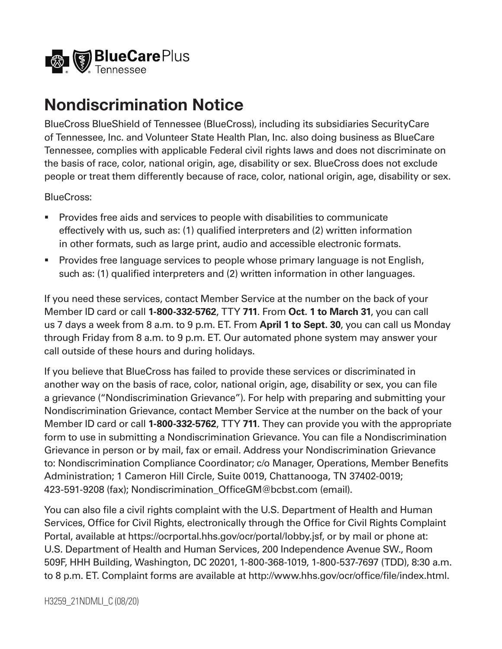

# **Nondiscrimination Notice**

BlueCross BlueShield of Tennessee (BlueCross), including its subsidiaries SecurityCare of Tennessee, Inc. and Volunteer State Health Plan, Inc. also doing business as BlueCare Tennessee, complies with applicable Federal civil rights laws and does not discriminate on the basis of race, color, national origin, age, disability or sex. BlueCross does not exclude people or treat them differently because of race, color, national origin, age, disability or sex.

BlueCross:

- Provides free aids and services to people with disabilities to communicate effectively with us, such as: (1) qualified interpreters and (2) written information in other formats, such as large print, audio and accessible electronic formats.
- **Provides free language services to people whose primary language is not English,** such as: (1) qualified interpreters and (2) written information in other languages.

If you need these services, contact Member Service at the number on the back of your Member ID card or call **1-800-332-5762**, TTY **711**. From **Oct. 1 to March 31**, you can call us 7 days a week from 8 a.m. to 9 p.m. ET. From **April 1 to Sept. 30**, you can call us Monday through Friday from 8 a.m. to 9 p.m. ET. Our automated phone system may answer your call outside of these hours and during holidays.

If you believe that BlueCross has failed to provide these services or discriminated in another way on the basis of race, color, national origin, age, disability or sex, you can file a grievance ("Nondiscrimination Grievance"). For help with preparing and submitting your Nondiscrimination Grievance, contact Member Service at the number on the back of your Member ID card or call **1-800-332-5762**, TTY **711**. They can provide you with the appropriate form to use in submitting a Nondiscrimination Grievance. You can file a Nondiscrimination Grievance in person or by mail, fax or email. Address your Nondiscrimination Grievance to: Nondiscrimination Compliance Coordinator; c/o Manager, Operations, Member Benefits Administration; 1 Cameron Hill Circle, Suite 0019, Chattanooga, TN 37402-0019; 423-591-9208 (fax); Nondiscrimination\_OfficeGM@bcbst.com (email).

You can also file a civil rights complaint with the U.S. Department of Health and Human Services, Office for Civil Rights, electronically through the Office for Civil Rights Complaint Portal, available at [https://ocrportal.hhs.gov/ocr/portal/lobby.jsf,](https://ocrportal.hhs.gov/ocr/portal/lobby.jsf) or by mail or phone at: U.S. Department of Health and Human Services, 200 Independence Avenue SW., Room 509F, HHH Building, Washington, DC 20201, 1-800-368-1019, 1-800-537-7697 (TDD), 8:30 a.m. to 8 p.m. ET. Complaint forms are available at<http://www.hhs.gov/ocr/office/file/index.html>.